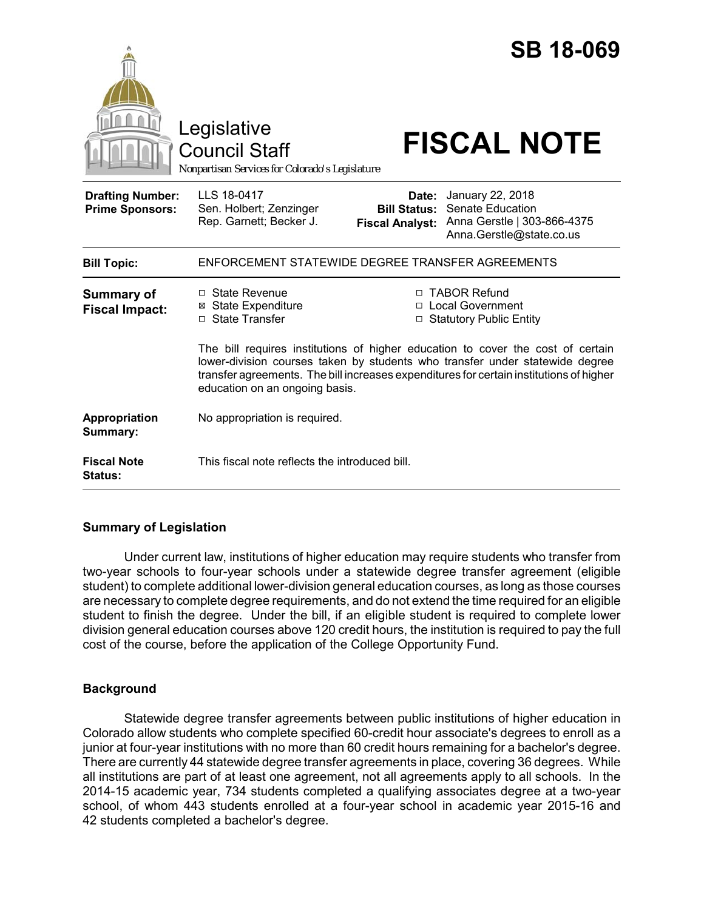|                                                   | Legislative<br><b>Council Staff</b><br>Nonpartisan Services for Colorado's Legislature                                                                                                                                                                                                       |                                                        | <b>SB 18-069</b><br><b>FISCAL NOTE</b>                                                                 |  |
|---------------------------------------------------|----------------------------------------------------------------------------------------------------------------------------------------------------------------------------------------------------------------------------------------------------------------------------------------------|--------------------------------------------------------|--------------------------------------------------------------------------------------------------------|--|
| <b>Drafting Number:</b><br><b>Prime Sponsors:</b> | LLS 18-0417<br>Sen. Holbert; Zenzinger<br>Rep. Garnett; Becker J.                                                                                                                                                                                                                            | Date:<br><b>Bill Status:</b><br><b>Fiscal Analyst:</b> | January 22, 2018<br><b>Senate Education</b><br>Anna Gerstle   303-866-4375<br>Anna.Gerstle@state.co.us |  |
| <b>Bill Topic:</b>                                | ENFORCEMENT STATEWIDE DEGREE TRANSFER AGREEMENTS                                                                                                                                                                                                                                             |                                                        |                                                                                                        |  |
| <b>Summary of</b><br><b>Fiscal Impact:</b>        | $\Box$ State Revenue<br><b>⊠</b> State Expenditure<br>□ State Transfer                                                                                                                                                                                                                       |                                                        | □ TABOR Refund<br>□ Local Government<br>□ Statutory Public Entity                                      |  |
|                                                   | The bill requires institutions of higher education to cover the cost of certain<br>lower-division courses taken by students who transfer under statewide degree<br>transfer agreements. The bill increases expenditures for certain institutions of higher<br>education on an ongoing basis. |                                                        |                                                                                                        |  |
| Appropriation<br>Summary:                         | No appropriation is required.                                                                                                                                                                                                                                                                |                                                        |                                                                                                        |  |
| <b>Fiscal Note</b><br><b>Status:</b>              | This fiscal note reflects the introduced bill.                                                                                                                                                                                                                                               |                                                        |                                                                                                        |  |

# **Summary of Legislation**

Under current law, institutions of higher education may require students who transfer from two-year schools to four-year schools under a statewide degree transfer agreement (eligible student) to complete additional lower-division general education courses, as long as those courses are necessary to complete degree requirements, and do not extend the time required for an eligible student to finish the degree. Under the bill, if an eligible student is required to complete lower division general education courses above 120 credit hours, the institution is required to pay the full cost of the course, before the application of the College Opportunity Fund.

### **Background**

Statewide degree transfer agreements between public institutions of higher education in Colorado allow students who complete specified 60-credit hour associate's degrees to enroll as a junior at four-year institutions with no more than 60 credit hours remaining for a bachelor's degree. There are currently 44 statewide degree transfer agreements in place, covering 36 degrees. While all institutions are part of at least one agreement, not all agreements apply to all schools. In the 2014-15 academic year, 734 students completed a qualifying associates degree at a two-year school, of whom 443 students enrolled at a four-year school in academic year 2015-16 and 42 students completed a bachelor's degree.